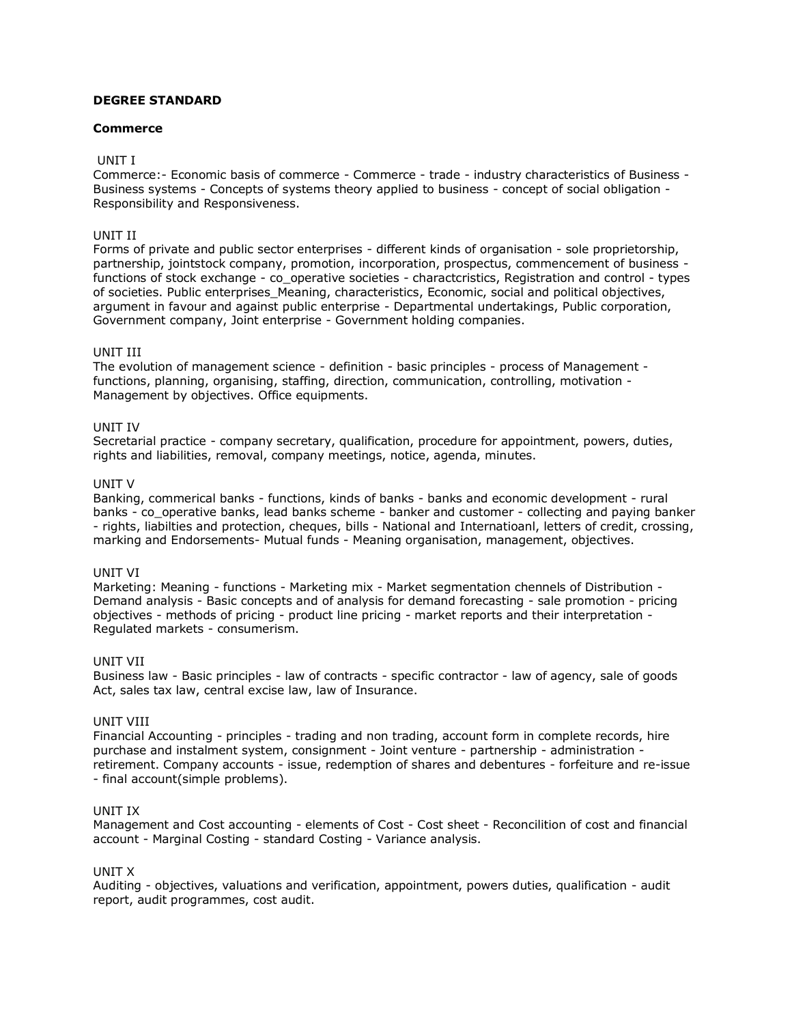## **DEGREE STANDARD**

## **Commerce**

## UNIT I

Commerce:- Economic basis of commerce - Commerce - trade - industry characteristics of Business - Business systems - Concepts of systems theory applied to business - concept of social obligation - Responsibility and Responsiveness.

# UNIT II

Forms of private and public sector enterprises - different kinds of organisation - sole proprietorship, partnership, jointstock company, promotion, incorporation, prospectus, commencement of business functions of stock exchange - co\_operative societies - charactcristics, Registration and control - types of societies. Public enterprises\_Meaning, characteristics, Economic, social and political objectives, argument in favour and against public enterprise - Departmental undertakings, Public corporation, Government company, Joint enterprise - Government holding companies.

## UNIT III

The evolution of management science - definition - basic principles - process of Management functions, planning, organising, staffing, direction, communication, controlling, motivation - Management by objectives. Office equipments.

## UNIT IV

Secretarial practice - company secretary, qualification, procedure for appointment, powers, duties, rights and liabilities, removal, company meetings, notice, agenda, minutes.

## UNIT V

Banking, commerical banks - functions, kinds of banks - banks and economic development - rural banks - co\_operative banks, lead banks scheme - banker and customer - collecting and paying banker - rights, liabilties and protection, cheques, bills - National and Internatioanl, letters of credit, crossing, marking and Endorsements- Mutual funds - Meaning organisation, management, objectives.

## UNIT VI

Marketing: Meaning - functions - Marketing mix - Market segmentation chennels of Distribution - Demand analysis - Basic concepts and of analysis for demand forecasting - sale promotion - pricing objectives - methods of pricing - product line pricing - market reports and their interpretation - Regulated markets - consumerism.

## UNIT VII

Business law - Basic principles - law of contracts - specific contractor - law of agency, sale of goods Act, sales tax law, central excise law, law of Insurance.

## UNIT VIII

Financial Accounting - principles - trading and non trading, account form in complete records, hire purchase and instalment system, consignment - Joint venture - partnership - administration retirement. Company accounts - issue, redemption of shares and debentures - forfeiture and re-issue - final account(simple problems).

## UNIT IX

Management and Cost accounting - elements of Cost - Cost sheet - Reconcilition of cost and financial account - Marginal Costing - standard Costing - Variance analysis.

## UNIT X

Auditing - objectives, valuations and verification, appointment, powers duties, qualification - audit report, audit programmes, cost audit.